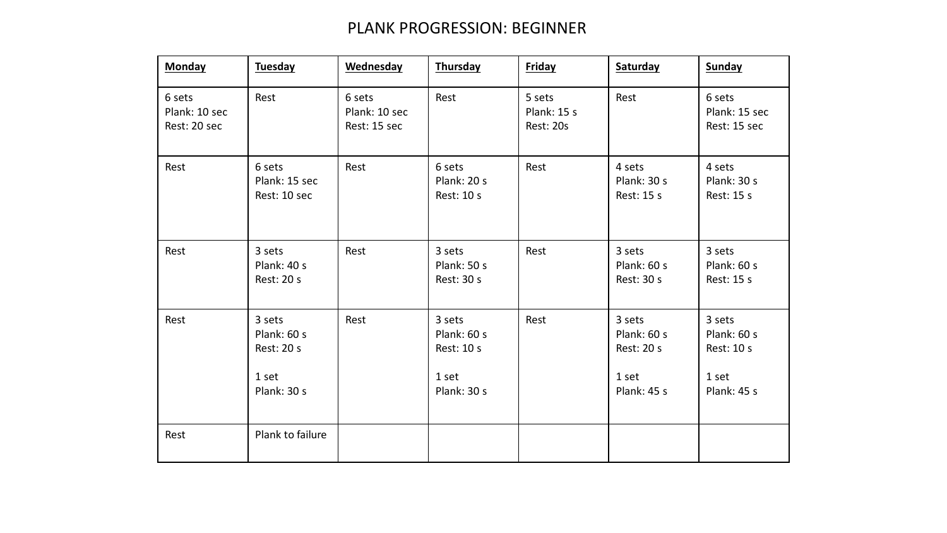## PLANK PROGRESSION: BEGINNER

| <b>Monday</b>                           | <b>Tuesday</b>                                              | <b>Wednesday</b>                        | Thursday                                                    | <b>Friday</b>                             | Saturday                                                    | <b>Sunday</b>                                               |
|-----------------------------------------|-------------------------------------------------------------|-----------------------------------------|-------------------------------------------------------------|-------------------------------------------|-------------------------------------------------------------|-------------------------------------------------------------|
| 6 sets<br>Plank: 10 sec<br>Rest: 20 sec | Rest                                                        | 6 sets<br>Plank: 10 sec<br>Rest: 15 sec | Rest                                                        | 5 sets<br>Plank: 15 s<br><b>Rest: 20s</b> | Rest                                                        | 6 sets<br>Plank: 15 sec<br>Rest: 15 sec                     |
| Rest                                    | 6 sets<br>Plank: 15 sec<br>Rest: 10 sec                     | Rest                                    | 6 sets<br>Plank: 20 s<br><b>Rest: 10 s</b>                  | Rest                                      | 4 sets<br>Plank: 30 s<br>Rest: 15 s                         | 4 sets<br>Plank: 30 s<br><b>Rest: 15 s</b>                  |
| Rest                                    | 3 sets<br>Plank: 40 s<br><b>Rest: 20 s</b>                  | Rest                                    | 3 sets<br>Plank: 50 s<br>Rest: 30 s                         | Rest                                      | 3 sets<br>Plank: 60 s<br>Rest: 30 s                         | 3 sets<br>Plank: 60 s<br>Rest: 15 s                         |
| Rest                                    | 3 sets<br>Plank: 60 s<br>Rest: 20 s<br>1 set<br>Plank: 30 s | Rest                                    | 3 sets<br>Plank: 60 s<br>Rest: 10 s<br>1 set<br>Plank: 30 s | Rest                                      | 3 sets<br>Plank: 60 s<br>Rest: 20 s<br>1 set<br>Plank: 45 s | 3 sets<br>Plank: 60 s<br>Rest: 10 s<br>1 set<br>Plank: 45 s |
| Rest                                    | Plank to failure                                            |                                         |                                                             |                                           |                                                             |                                                             |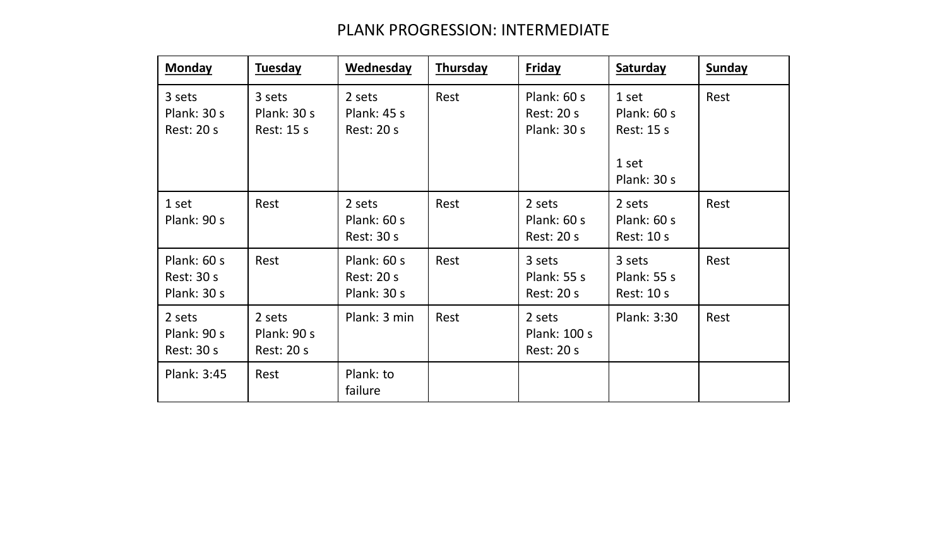## PLANK PROGRESSION: INTERMEDIATE

| <b>Monday</b>                                   | <b>Tuesday</b>                             | Wednesday                                         | <b>Thursday</b> | Friday                                            | <b>Saturday</b>                                    | <b>Sunday</b> |
|-------------------------------------------------|--------------------------------------------|---------------------------------------------------|-----------------|---------------------------------------------------|----------------------------------------------------|---------------|
| 3 sets<br>Plank: 30 s<br><b>Rest: 20 s</b>      | 3 sets<br>Plank: 30 s<br><b>Rest: 15 s</b> | 2 sets<br><b>Plank: 45 s</b><br><b>Rest: 20 s</b> | Rest            | Plank: 60 s<br><b>Rest: 20 s</b><br>Plank: 30 s   | 1 set<br>Plank: 60 s<br><b>Rest: 15 s</b><br>1 set | Rest          |
|                                                 |                                            |                                                   |                 |                                                   | Plank: 30 s                                        |               |
| 1 set<br>Plank: 90 s                            | Rest                                       | 2 sets<br>Plank: 60 s<br><b>Rest: 30 s</b>        | Rest            | 2 sets<br><b>Plank: 60 s</b><br><b>Rest: 20 s</b> | 2 sets<br>Plank: 60 s<br><b>Rest: 10 s</b>         | Rest          |
| Plank: 60 s<br><b>Rest: 30 s</b><br>Plank: 30 s | Rest                                       | Plank: $60 s$<br><b>Rest: 20 s</b><br>Plank: 30 s | Rest            | 3 sets<br><b>Plank: 55 s</b><br><b>Rest: 20 s</b> | 3 sets<br><b>Plank: 55 s</b><br><b>Rest: 10 s</b>  | Rest          |
| 2 sets<br>Plank: 90 s<br><b>Rest: 30 s</b>      | 2 sets<br>Plank: 90 s<br><b>Rest: 20 s</b> | Plank: 3 min                                      | Rest            | 2 sets<br>Plank: 100 s<br><b>Rest: 20 s</b>       | Plank: 3:30                                        | Rest          |
| Plank: 3:45                                     | Rest                                       | Plank: to<br>failure                              |                 |                                                   |                                                    |               |